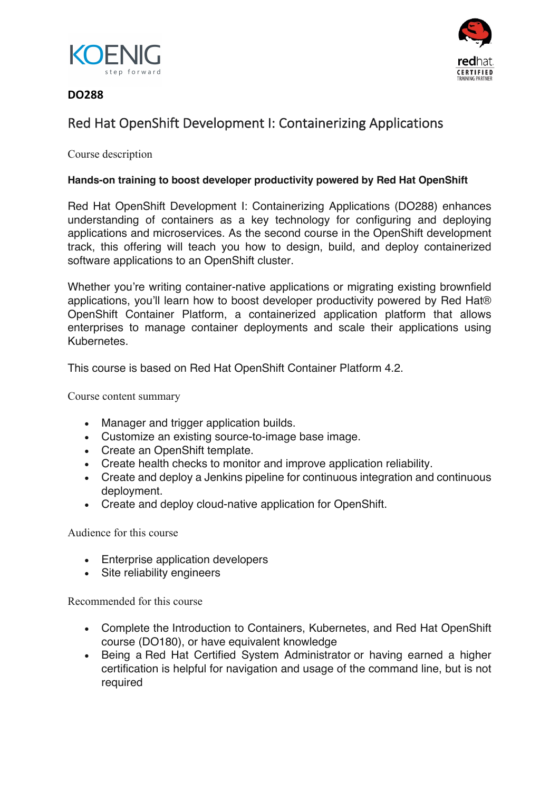



#### **DO288**

## Red Hat OpenShift Development I: Containerizing Applications

Course description

#### **Hands-on training to boost developer productivity powered by Red Hat OpenShift**

Red Hat OpenShift Development I: Containerizing Applications (DO288) enhances understanding of containers as a key technology for configuring and deploying applications and microservices. As the second course in the OpenShift development track, this offering will teach you how to design, build, and deploy containerized software applications to an OpenShift cluster.

Whether you're writing container-native applications or migrating existing brownfield applications, you'll learn how to boost developer productivity powered by Red Hat® OpenShift Container Platform, a containerized application platform that allows enterprises to manage container deployments and scale their applications using **Kubernetes** 

This course is based on Red Hat OpenShift Container Platform 4.2.

Course content summary

- Manager and trigger application builds.
- Customize an existing source-to-image base image.
- Create an OpenShift template.
- Create health checks to monitor and improve application reliability.
- Create and deploy a Jenkins pipeline for continuous integration and continuous deployment.
- Create and deploy cloud-native application for OpenShift.

Audience for this course

- Enterprise application developers
- Site reliability engineers

Recommended for this course

- Complete the Introduction to Containers, Kubernetes, and Red Hat OpenShift course (DO180), or have equivalent knowledge
- Being a Red Hat Certified System Administrator or having earned a higher certification is helpful for navigation and usage of the command line, but is not required